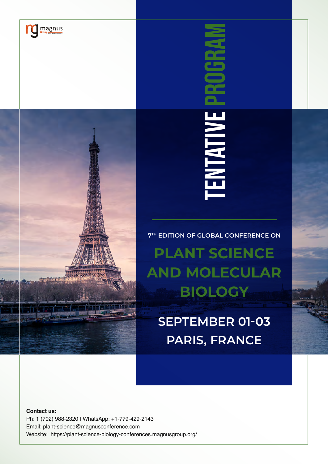

TENTATIVE PROGRAM **RNTATIV** 

**7TH EDITION OF GLOBAL CONFERENCE ON**

**PLANT SCIENCE AND MOLECULAR BIOLOGY**

**SEPTEMBER 01-03 PARIS, FRANCE**

**Contact us:** Ph: 1 (702) 988-2320 | WhatsApp: +1-779-429-2143 Email: plant-science@magnusconference.com Website: https://plant-science-biology-conferences.magnusgroup.org/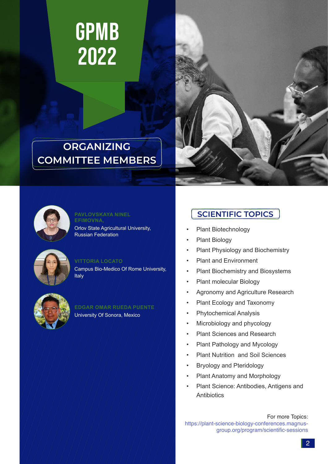

### **ORGANIZING COMMITTEE MEMBERS**





### **EFIMOVNA,**

Orlov State Agricultural University, Russian Federation



#### **VITTORIA LOCATO**

Campus Bio-Medico Of Rome University, Italy



#### **EDGAR OMAR RUEDA PUENTE**

University Of Sonora, Mexico

### **PAVLOVSKAYA NINEL** *SCIENTIFIC TOPICS*

- Plant Biotechnology
- Plant Biology
- Plant Physiology and Biochemistry
- Plant and Environment
- Plant Biochemistry and Biosystems
- Plant molecular Biology
- Agronomy and Agriculture Research
- Plant Ecology and Taxonomy
- Phytochemical Analysis
- Microbiology and phycology
- Plant Sciences and Research
- Plant Pathology and Mycology
- Plant Nutrition and Soil Sciences
- Bryology and Pteridology
- Plant Anatomy and Morphology
- Plant Science: Antibodies, Antigens and **Antibiotics**

For more Topics: https://plant-science-biology-conferences.magnusgroup.org/program/scientific-sessions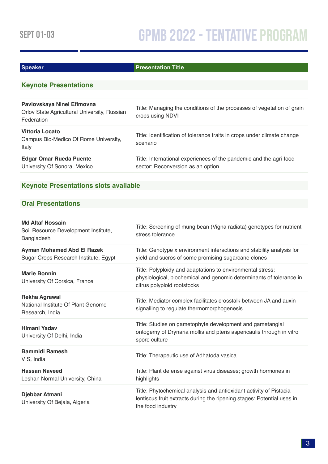#### **Speaker Presentation Title**

#### **Keynote Presentations**

| Pavlovskaya Ninel Efimovna<br>Orlov State Agricultural University, Russian<br>Federation | Title: Managing the conditions of the processes of vegetation of grain<br>crops using NDVI              |
|------------------------------------------------------------------------------------------|---------------------------------------------------------------------------------------------------------|
| Vittoria Locato<br>Campus Bio-Medico Of Rome University,<br>Italy                        | Title: Identification of tolerance traits in crops under climate change<br>scenario                     |
| <b>Edgar Omar Rueda Puente</b><br>University Of Sonora, Mexico                           | Title: International experiences of the pandemic and the agri-food<br>sector: Reconversion as an option |

#### **Keynote Presentations slots available**

#### **Oral Presentations**

#### **Md Altaf Hossain**

| Soil Resource Development Institute,<br>Bangladesh                            | Title: Screening of mung bean (Vigna radiata) genotypes for nutrient<br>stress tolerance                                                                          |
|-------------------------------------------------------------------------------|-------------------------------------------------------------------------------------------------------------------------------------------------------------------|
| <b>Ayman Mohamed Abd El Razek</b><br>Sugar Crops Research Institute, Egypt    | Title: Genotype x environment interactions and stability analysis for<br>yield and sucros of some promising sugarcane clones                                      |
| <b>Marie Bonnin</b><br>University Of Corsica, France                          | Title: Polyploidy and adaptations to environmental stress:<br>physiological, biochemical and genomic determinants of tolerance in<br>citrus polyploid rootstocks  |
| <b>Rekha Agrawal</b><br>National Institute Of Plant Genome<br>Research, India | Title: Mediator complex facilitates crosstalk between JA and auxin<br>signalling to regulate thermomorphogenesis                                                  |
| Himani Yadav<br>University Of Delhi, India                                    | Title: Studies on gametophyte development and gametangial<br>ontogemy of Drynaria mollis and pteris aspericaulis through in vitro<br>spore culture                |
| <b>Bammidi Ramesh</b><br>VIS, India                                           | Title: Therapeutic use of Adhatoda vasica                                                                                                                         |
| <b>Hassan Naveed</b><br>Leshan Normal University, China                       | Title: Plant defense against virus diseases; growth hormones in<br>highlights                                                                                     |
| Djebbar Atmani<br>University Of Bejaia, Algeria                               | Title: Phytochemical analysis and antioxidant activity of Pistacia<br>lentiscus fruit extracts during the ripening stages: Potential uses in<br>the food industry |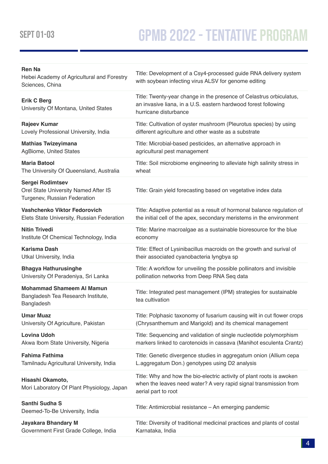# SEPT 01-03 **GPMB 2022 - TENTATIVE PROGRAM**

| <b>Ren Na</b><br>Hebei Academy of Agricultural and Forestry<br>Sciences, China                  | Title: Development of a Csy4-processed guide RNA delivery system<br>with soybean infecting virus ALSV for genome editing                                          |
|-------------------------------------------------------------------------------------------------|-------------------------------------------------------------------------------------------------------------------------------------------------------------------|
| <b>Erik C Berg</b><br>University Of Montana, United States                                      | Title: Twenty-year change in the presence of Celastrus orbiculatus,<br>an invasive liana, in a U.S. eastern hardwood forest following<br>hurricane disturbance    |
| <b>Rajeev Kumar</b>                                                                             | Title: Cultivation of oyster mushroom (Pleurotus species) by using                                                                                                |
| Lovely Professional University, India                                                           | different agriculture and other waste as a substrate                                                                                                              |
| <b>Mathias Twizeyimana</b>                                                                      | Title: Microbial-based pesticides, an alternative approach in                                                                                                     |
| AgBiome, United States                                                                          | agricultural pest management                                                                                                                                      |
| <b>Maria Batool</b>                                                                             | Title: Soil microbiome engineering to alleviate high salinity stress in                                                                                           |
| The University Of Queensland, Australia                                                         | wheat                                                                                                                                                             |
| <b>Sergei Rodimtsev</b><br>Orel State University Named After IS<br>Turgenev, Russian Federation | Title: Grain yield forecasting based on vegetative index data                                                                                                     |
| Vashchenko Viktor Fedorovich                                                                    | Title: Adaptive potential as a result of hormonal balance regulation of                                                                                           |
| Elets State University, Russian Federation                                                      | the initial cell of the apex, secondary meristems in the environment                                                                                              |
| <b>Nitin Trivedi</b>                                                                            | Title: Marine macroalgae as a sustainable bioresource for the blue                                                                                                |
| Institute Of Chemical Technology, India                                                         | economy                                                                                                                                                           |
| <b>Karisma Dash</b>                                                                             | Title: Effect of Lysinibacillus macroids on the growth and surival of                                                                                             |
| Utkal University, India                                                                         | their associated cyanobacteria lyngbya sp                                                                                                                         |
| <b>Bhagya Hathurusinghe</b>                                                                     | Title: A workflow for unveiling the possible pollinators and invisible                                                                                            |
| University Of Peradeniya, Sri Lanka                                                             | pollination networks from Deep RNA Seq data                                                                                                                       |
| <b>Mohammad Shameem AI Mamun</b><br>Bangladesh Tea Research Institute,<br>Bangladesh            | Title: Integrated pest management (IPM) strategies for sustainable<br>tea cultivation                                                                             |
| <b>Umar Muaz</b>                                                                                | Title: Polphasic taxonomy of fusarium causing wilt in cut flower crops                                                                                            |
| University Of Agriculture, Pakistan                                                             | (Chrysanthemum and Marigold) and its chemical management                                                                                                          |
| <b>Lovina Udoh</b>                                                                              | Title: Sequencing and validation of single nucleotide polymorphism                                                                                                |
| Akwa Ibom State University, Nigeria                                                             | markers linked to carotenoids in cassava (Manihot esculenta Crantz)                                                                                               |
| <b>Fahima Fathima</b>                                                                           | Title: Genetic divergence studies in aggregatum onion (Allium cepa                                                                                                |
| Tamilnadu Agricultural University, India                                                        | L.aggregatum Don.) genotypes using D2 analysis                                                                                                                    |
| Hisashi Okamoto,<br>Mori Laboratory Of Plant Physiology, Japan                                  | Title: Why and how the bio-electric activity of plant roots is awoken<br>when the leaves need water? A very rapid signal transmission from<br>aerial part to root |
| Santhi Sudha S<br>Deemed-To-Be University, India                                                | Title: Antimicrobial resistance - An emerging pandemic                                                                                                            |
| <b>Jayakara Bhandary M</b>                                                                      | Title: Diversity of traditional medicinal practices and plants of costal                                                                                          |
| Government First Grade College, India                                                           | Karnataka, India                                                                                                                                                  |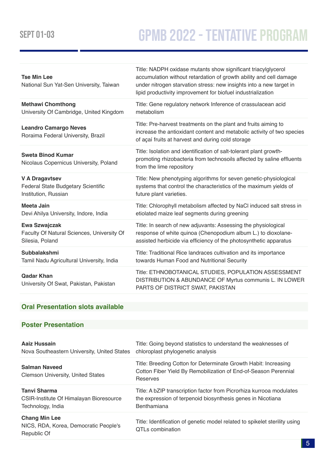# SEPT 01-03 **GPMB 2022 - TENTATIVE PROGRAM**

| <b>Tse Min Lee</b><br>National Sun Yat-Sen University, Taiwan      | Title: NADPH oxidase mutants show significant triacylglycerol<br>accumulation without retardation of growth ability and cell damage<br>under nitrogen starvation stress: new insights into a new target in<br>lipid productivity improvement for biofuel industrialization |
|--------------------------------------------------------------------|----------------------------------------------------------------------------------------------------------------------------------------------------------------------------------------------------------------------------------------------------------------------------|
| <b>Methawi Chomthong</b>                                           | Title: Gene regulatory network Inference of crassulacean acid                                                                                                                                                                                                              |
| University Of Cambridge, United Kingdom                            | metabolism                                                                                                                                                                                                                                                                 |
| <b>Leandro Camargo Neves</b><br>Roraima Federal University, Brazil | Title: Pre-harvest treatments on the plant and fruits aiming to<br>increase the antioxidant content and metabolic activity of two species<br>of açaí fruits at harvest and during cold storage                                                                             |
| <b>Sweta Binod Kumar</b><br>Nicolaus Copernicus University, Poland | Title: Isolation and identification of salt-tolerant plant growth-<br>promoting rhizobacteria from technosoils affected by saline effluents<br>from the lime repository                                                                                                    |
| <b>V A Dragavtsev</b>                                              | Title: New phenotyping algorithms for seven genetic-physiological                                                                                                                                                                                                          |
| Federal State Budgetary Scientific                                 | systems that control the characteristics of the maximum yields of                                                                                                                                                                                                          |
| Institution, Russian                                               | future plant varieties.                                                                                                                                                                                                                                                    |
| <b>Meeta Jain</b>                                                  | Title: Chlorophyll metabolism affected by NaCl induced salt stress in                                                                                                                                                                                                      |
| Devi Ahilya University, Indore, India                              | etiolated maize leaf segments during greening                                                                                                                                                                                                                              |
| <b>Ewa Szwajczak</b>                                               | Title: In search of new adjuvants: Assessing the physiological                                                                                                                                                                                                             |
| Faculty Of Natural Sciences, University Of                         | response of white quinoa (Chenopodium album L.) to dioxolane-                                                                                                                                                                                                              |
| Silesia, Poland                                                    | assisted herbicide via efficiency of the photosynthetic apparatus                                                                                                                                                                                                          |
| <b>Subbalakshmi</b>                                                | Title: Traditional Rice landraces cultivation and its importance                                                                                                                                                                                                           |
| Tamil Nadu Agricultural University, India                          | towards Human Food and Nutritional Security                                                                                                                                                                                                                                |
| <b>Qadar Khan</b><br>University Of Swat, Pakistan, Pakistan        | Title: ETHNOBOTANICAL STUDIES, POPULATION ASSESSMENT<br>DISTRIBUTION & ABUNDANCE OF Myrtus communis L. IN LOWER<br>PARTS OF DISTRICT SWAT, PAKISTAN                                                                                                                        |

#### **Oral Presentation slots available**

#### **Poster Presentation**

| Aaiz Hussain                                                                 | Title: Going beyond statistics to understand the weaknesses of                                                                                 |
|------------------------------------------------------------------------------|------------------------------------------------------------------------------------------------------------------------------------------------|
| Nova Southeastern University, United States                                  | chloroplast phylogenetic analysis                                                                                                              |
| <b>Salman Naveed</b><br><b>Clemson University, United States</b>             | Title: Breeding Cotton for Determinate Growth Habit: Increasing<br>Cotton Fiber Yield By Remobilization of End-of-Season Perennial<br>Reserves |
| <b>Tanvi Sharma</b>                                                          | Title: A bZIP transcription factor from Picrorhiza kurrooa modulates                                                                           |
| CSIR-Institute Of Himalayan Bioresource                                      | the expression of terpenoid biosynthesis genes in Nicotiana                                                                                    |
| Technology, India                                                            | Benthamiana                                                                                                                                    |
| <b>Chang Min Lee</b><br>NICS, RDA, Korea, Democratic People's<br>Republic Of | Title: Identification of genetic model related to spikelet sterility using<br>QTLs combination                                                 |